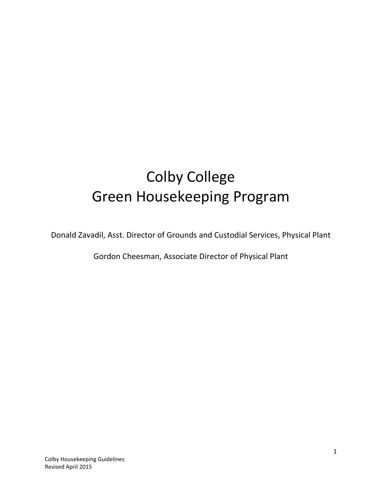# Colby College Green Housekeeping Program

Donald Zavadil, Asst. Director of Grounds and Custodial Services, Physical Plant

Gordon Cheesman, Associate Director of Physical Plant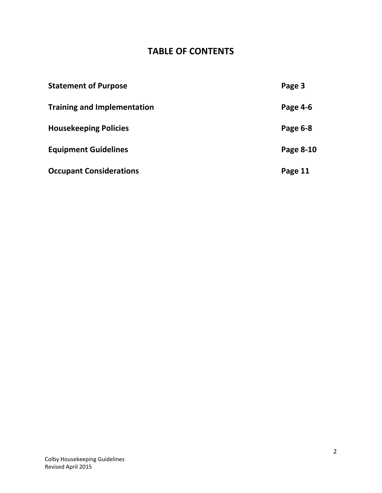# **TABLE OF CONTENTS**

| <b>Statement of Purpose</b>        | Page 3    |
|------------------------------------|-----------|
| <b>Training and Implementation</b> | Page 4-6  |
| <b>Housekeeping Policies</b>       | Page 6-8  |
| <b>Equipment Guidelines</b>        | Page 8-10 |
| <b>Occupant Considerations</b>     | Page 11   |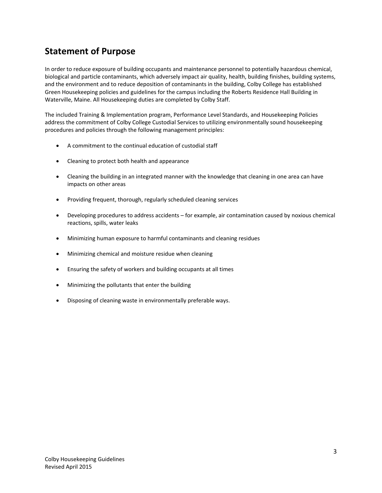### **Statement of Purpose**

In order to reduce exposure of building occupants and maintenance personnel to potentially hazardous chemical, biological and particle contaminants, which adversely impact air quality, health, building finishes, building systems, and the environment and to reduce deposition of contaminants in the building, Colby College has established Green Housekeeping policies and guidelines for the campus including the Roberts Residence Hall Building in Waterville, Maine. All Housekeeping duties are completed by Colby Staff.

The included Training & Implementation program, Performance Level Standards, and Housekeeping Policies address the commitment of Colby College Custodial Services to utilizing environmentally sound housekeeping procedures and policies through the following management principles:

- A commitment to the continual education of custodial staff
- Cleaning to protect both health and appearance
- Cleaning the building in an integrated manner with the knowledge that cleaning in one area can have impacts on other areas
- Providing frequent, thorough, regularly scheduled cleaning services
- Developing procedures to address accidents for example, air contamination caused by noxious chemical reactions, spills, water leaks
- Minimizing human exposure to harmful contaminants and cleaning residues
- Minimizing chemical and moisture residue when cleaning
- Ensuring the safety of workers and building occupants at all times
- Minimizing the pollutants that enter the building
- Disposing of cleaning waste in environmentally preferable ways.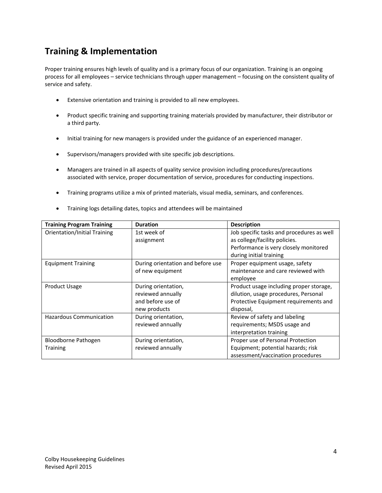### **Training & Implementation**

Proper training ensures high levels of quality and is a primary focus of our organization. Training is an ongoing process for all employees – service technicians through upper management – focusing on the consistent quality of service and safety.

- Extensive orientation and training is provided to all new employees.
- Product specific training and supporting training materials provided by manufacturer, their distributor or a third party.
- Initial training for new managers is provided under the guidance of an experienced manager.
- Supervisors/managers provided with site specific job descriptions.
- Managers are trained in all aspects of quality service provision including procedures/precautions associated with service, proper documentation of service, procedures for conducting inspections.
- Training programs utilize a mix of printed materials, visual media, seminars, and conferences.
- Training logs detailing dates, topics and attendees will be maintained

| <b>Training Program Training</b>    | <b>Duration</b>                             | <b>Description</b>                        |  |  |
|-------------------------------------|---------------------------------------------|-------------------------------------------|--|--|
| <b>Orientation/Initial Training</b> | 1st week of                                 | Job specific tasks and procedures as well |  |  |
|                                     | as college/facility policies.<br>assignment |                                           |  |  |
|                                     |                                             | Performance is very closely monitored     |  |  |
|                                     |                                             | during initial training                   |  |  |
| <b>Equipment Training</b>           | During orientation and before use           | Proper equipment usage, safety            |  |  |
|                                     | of new equipment                            | maintenance and care reviewed with        |  |  |
|                                     |                                             | employee                                  |  |  |
| <b>Product Usage</b>                | During orientation,                         | Product usage including proper storage,   |  |  |
|                                     | reviewed annually                           | dilution, usage procedures, Personal      |  |  |
|                                     | and before use of                           | Protective Equipment requirements and     |  |  |
|                                     | new products                                | disposal,                                 |  |  |
| <b>Hazardous Communication</b>      | During orientation,                         | Review of safety and labeling             |  |  |
|                                     | reviewed annually                           | requirements; MSDS usage and              |  |  |
|                                     |                                             | interpretation training                   |  |  |
| Bloodborne Pathogen                 | During orientation,                         | Proper use of Personal Protection         |  |  |
| <b>Training</b>                     | reviewed annually                           | Equipment; potential hazards; risk        |  |  |
|                                     |                                             | assessment/vaccination procedures         |  |  |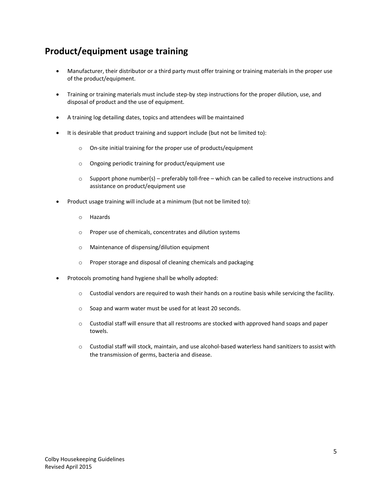# **Product/equipment usage training**

- Manufacturer, their distributor or a third party must offer training or training materials in the proper use of the product/equipment.
- Training or training materials must include step-by step instructions for the proper dilution, use, and disposal of product and the use of equipment.
- A training log detailing dates, topics and attendees will be maintained
- It is desirable that product training and support include (but not be limited to):
	- o On-site initial training for the proper use of products/equipment
	- o Ongoing periodic training for product/equipment use
	- $\circ$  Support phone number(s) preferably toll-free which can be called to receive instructions and assistance on product/equipment use
- Product usage training will include at a minimum (but not be limited to):
	- o Hazards
	- o Proper use of chemicals, concentrates and dilution systems
	- o Maintenance of dispensing/dilution equipment
	- o Proper storage and disposal of cleaning chemicals and packaging
- Protocols promoting hand hygiene shall be wholly adopted:
	- o Custodial vendors are required to wash their hands on a routine basis while servicing the facility.
	- o Soap and warm water must be used for at least 20 seconds.
	- $\circ$  Custodial staff will ensure that all restrooms are stocked with approved hand soaps and paper towels.
	- o Custodial staff will stock, maintain, and use alcohol-based waterless hand sanitizers to assist with the transmission of germs, bacteria and disease.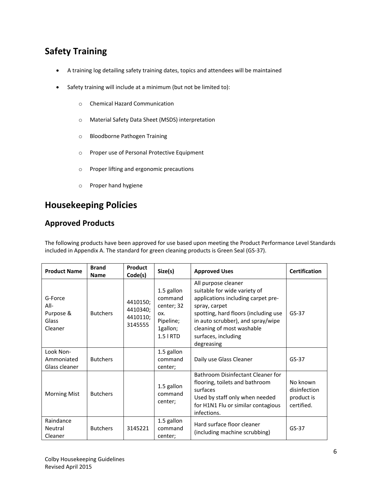# **Safety Training**

- A training log detailing safety training dates, topics and attendees will be maintained
- Safety training will include at a minimum (but not be limited to):
	- o Chemical Hazard Communication
	- o Material Safety Data Sheet (MSDS) interpretation
	- o Bloodborne Pathogen Training
	- o Proper use of Personal Protective Equipment
	- o Proper lifting and ergonomic precautions
	- o Proper hand hygiene

# **Housekeeping Policies**

#### **Approved Products**

The following products have been approved for use based upon meeting the Product Performance Level Standards included in Appendix A. The standard for green cleaning products is Green Seal (GS-37).

| <b>Product Name</b>                              | <b>Brand</b><br><b>Name</b> | Product<br>Code(s)                          | Size(s)                                                                            | <b>Approved Uses</b>                                                                                                                                                                                                                                      | <b>Certification</b>                                 |
|--------------------------------------------------|-----------------------------|---------------------------------------------|------------------------------------------------------------------------------------|-----------------------------------------------------------------------------------------------------------------------------------------------------------------------------------------------------------------------------------------------------------|------------------------------------------------------|
| G-Force<br>All-<br>Purpose &<br>Glass<br>Cleaner | <b>Butchers</b>             | 4410150;<br>4410340;<br>4410110;<br>3145555 | 1.5 gallon<br>command<br>center; 32<br>OX.<br>Pipeline;<br>1gallon;<br>$1.5$   RTD | All purpose cleaner<br>suitable for wide variety of<br>applications including carpet pre-<br>spray, carpet<br>spotting, hard floors (including use<br>in auto scrubber), and spray/wipe<br>cleaning of most washable<br>surfaces, including<br>degreasing | $GS-37$                                              |
| Look Non-<br>Ammoniated<br>Glass cleaner         | <b>Butchers</b>             |                                             | 1.5 gallon<br>command<br>center;                                                   | Daily use Glass Cleaner                                                                                                                                                                                                                                   | $GS-37$                                              |
| <b>Morning Mist</b>                              | <b>Butchers</b>             |                                             | 1.5 gallon<br>command<br>center;                                                   | Bathroom Disinfectant Cleaner for<br>flooring, toilets and bathroom<br>surfaces<br>Used by staff only when needed<br>for H1N1 Flu or similar contagious<br>infections.                                                                                    | No known<br>disinfection<br>product is<br>certified. |
| Raindance<br>Neutral<br>Cleaner                  | <b>Butchers</b>             | 3145221                                     | 1.5 gallon<br>command<br>center;                                                   | Hard surface floor cleaner<br>(including machine scrubbing)                                                                                                                                                                                               | $GS-37$                                              |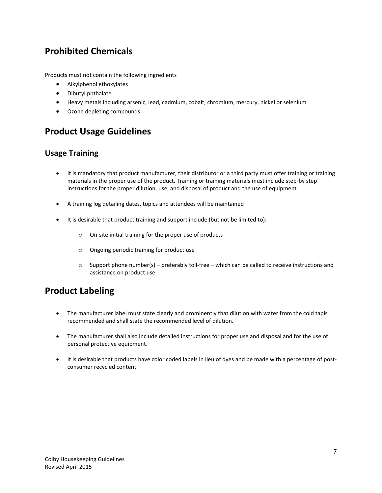### **Prohibited Chemicals**

Products must not contain the following ingredients

- Alkylphenol ethoxylates
- Dibutyl phthalate
- Heavy metals including arsenic, lead, cadmium, cobalt, chromium, mercury, nickel or selenium
- Ozone depleting compounds

### **Product Usage Guidelines**

#### **Usage Training**

- It is mandatory that product manufacturer, their distributor or a third party must offer training or training materials in the proper use of the product. Training or training materials must include step-by step instructions for the proper dilution, use, and disposal of product and the use of equipment.
- A training log detailing dates, topics and attendees will be maintained
- It is desirable that product training and support include (but not be limited to):
	- o On-site initial training for the proper use of products
	- o Ongoing periodic training for product use
	- o Support phone number(s) preferably toll-free which can be called to receive instructions and assistance on product use

### **Product Labeling**

- The manufacturer label must state clearly and prominently that dilution with water from the cold tapis recommended and shall state the recommended level of dilution.
- The manufacturer shall also include detailed instructions for proper use and disposal and for the use of personal protective equipment.
- It is desirable that products have color coded labels in lieu of dyes and be made with a percentage of postconsumer recycled content.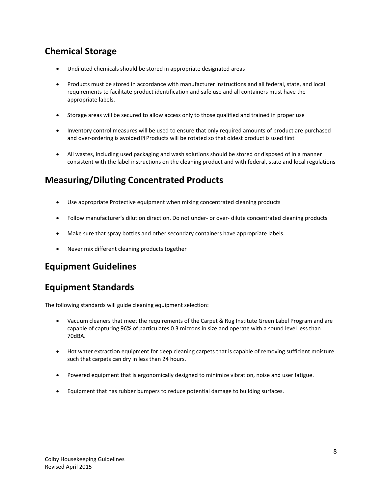# **Chemical Storage**

- Undiluted chemicals should be stored in appropriate designated areas
- Products must be stored in accordance with manufacturer instructions and all federal, state, and local requirements to facilitate product identification and safe use and all containers must have the appropriate labels.
- Storage areas will be secured to allow access only to those qualified and trained in proper use
- Inventory control measures will be used to ensure that only required amounts of product are purchased and over-ordering is avoided  $\mathbb D$  Products will be rotated so that oldest product is used first
- All wastes, including used packaging and wash solutions should be stored or disposed of in a manner consistent with the label instructions on the cleaning product and with federal, state and local regulations

# **Measuring/Diluting Concentrated Products**

- Use appropriate Protective equipment when mixing concentrated cleaning products
- Follow manufacturer's dilution direction. Do not under- or over- dilute concentrated cleaning products
- Make sure that spray bottles and other secondary containers have appropriate labels.
- Never mix different cleaning products together

### **Equipment Guidelines**

### **Equipment Standards**

The following standards will guide cleaning equipment selection:

- Vacuum cleaners that meet the requirements of the Carpet & Rug Institute Green Label Program and are capable of capturing 96% of particulates 0.3 microns in size and operate with a sound level less than 70dBA.
- Hot water extraction equipment for deep cleaning carpets that is capable of removing sufficient moisture such that carpets can dry in less than 24 hours.
- Powered equipment that is ergonomically designed to minimize vibration, noise and user fatigue.
- Equipment that has rubber bumpers to reduce potential damage to building surfaces.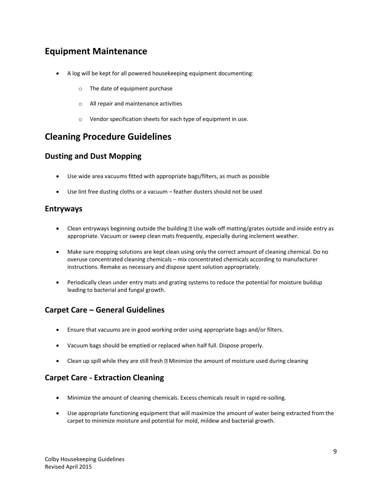### **Equipment Maintenance**

- A log will be kept for all powered housekeeping equipment documenting:
	- o The date of equipment purchase
	- o All repair and maintenance activities
	- o Vendor specification sheets for each type of equipment in use.

#### **Cleaning Procedure Guidelines**

#### **Dusting and Dust Mopping**

- Use wide area vacuums fitted with appropriate bags/filters, as much as possible
- Use lint free dusting cloths or a vacuum feather dusters should not be used

#### **Entryways**

- **•** Clean entryways beginning outside the building  $\mathbb D$  Use walk-off matting/grates outside and inside entry as appropriate. Vacuum or sweep clean mats frequently, especially during inclement weather.
- Make sure mopping solutions are kept clean using only the correct amount of cleaning chemical. Do no overuse concentrated cleaning chemicals – mix concentrated chemicals according to manufacturer instructions. Remake as necessary and dispose spent solution appropriately.
- Periodically clean under entry mats and grating systems to reduce the potential for moisture buildup leading to bacterial and fungal growth.

#### **Carpet Care – General Guidelines**

- Ensure that vacuums are in good working order using appropriate bags and/or filters.
- Vacuum bags should be emptied or replaced when half full. Dispose properly.
- Clean up spill while they are still fresh  $\mathbb{Z}$  Minimize the amount of moisture used during cleaning

#### **Carpet Care - Extraction Cleaning**

- Minimize the amount of cleaning chemicals. Excess chemicals result in rapid re-soiling.
- Use appropriate functioning equipment that will maximize the amount of water being extracted from the carpet to minimize moisture and potential for mold, mildew and bacterial growth.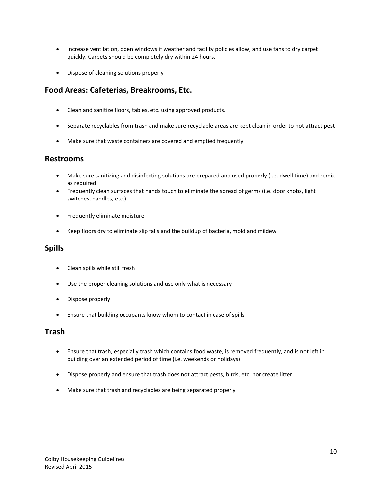- Increase ventilation, open windows if weather and facility policies allow, and use fans to dry carpet quickly. Carpets should be completely dry within 24 hours.
- Dispose of cleaning solutions properly

#### **Food Areas: Cafeterias, Breakrooms, Etc.**

- Clean and sanitize floors, tables, etc. using approved products.
- Separate recyclables from trash and make sure recyclable areas are kept clean in order to not attract pest
- Make sure that waste containers are covered and emptied frequently

#### **Restrooms**

- Make sure sanitizing and disinfecting solutions are prepared and used properly (i.e. dwell time) and remix as required
- Frequently clean surfaces that hands touch to eliminate the spread of germs (i.e. door knobs, light switches, handles, etc.)
- **•** Frequently eliminate moisture
- Keep floors dry to eliminate slip falls and the buildup of bacteria, mold and mildew

#### **Spills**

- Clean spills while still fresh
- Use the proper cleaning solutions and use only what is necessary
- Dispose properly
- Ensure that building occupants know whom to contact in case of spills

#### **Trash**

- Ensure that trash, especially trash which contains food waste, is removed frequently, and is not left in building over an extended period of time (i.e. weekends or holidays)
- Dispose properly and ensure that trash does not attract pests, birds, etc. nor create litter.
- Make sure that trash and recyclables are being separated properly